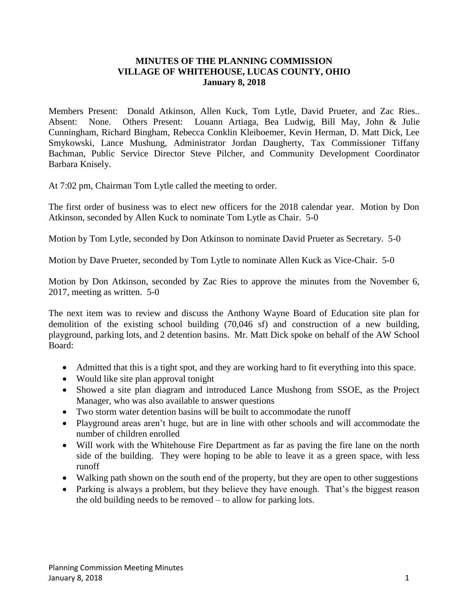## **MINUTES OF THE PLANNING COMMISSION VILLAGE OF WHITEHOUSE, LUCAS COUNTY, OHIO January 8, 2018**

Members Present: Donald Atkinson, Allen Kuck, Tom Lytle, David Prueter, and Zac Ries.. Absent: None. Others Present: Louann Artiaga, Bea Ludwig, Bill May, John & Julie Cunningham, Richard Bingham, Rebecca Conklin Kleiboemer, Kevin Herman, D. Matt Dick, Lee Smykowski, Lance Mushung, Administrator Jordan Daugherty, Tax Commissioner Tiffany Bachman, Public Service Director Steve Pilcher, and Community Development Coordinator Barbara Knisely.

At 7:02 pm, Chairman Tom Lytle called the meeting to order.

The first order of business was to elect new officers for the 2018 calendar year. Motion by Don Atkinson, seconded by Allen Kuck to nominate Tom Lytle as Chair. 5-0

Motion by Tom Lytle, seconded by Don Atkinson to nominate David Prueter as Secretary. 5-0

Motion by Dave Prueter, seconded by Tom Lytle to nominate Allen Kuck as Vice-Chair. 5-0

Motion by Don Atkinson, seconded by Zac Ries to approve the minutes from the November 6, 2017, meeting as written. 5-0

The next item was to review and discuss the Anthony Wayne Board of Education site plan for demolition of the existing school building (70,046 sf) and construction of a new building, playground, parking lots, and 2 detention basins. Mr. Matt Dick spoke on behalf of the AW School Board:

- Admitted that this is a tight spot, and they are working hard to fit everything into this space.
- Would like site plan approval tonight
- Showed a site plan diagram and introduced Lance Mushong from SSOE, as the Project Manager, who was also available to answer questions
- Two storm water detention basins will be built to accommodate the runoff
- Playground areas aren't huge, but are in line with other schools and will accommodate the number of children enrolled
- Will work with the Whitehouse Fire Department as far as paving the fire lane on the north side of the building. They were hoping to be able to leave it as a green space, with less runoff
- Walking path shown on the south end of the property, but they are open to other suggestions
- Parking is always a problem, but they believe they have enough. That's the biggest reason the old building needs to be removed – to allow for parking lots.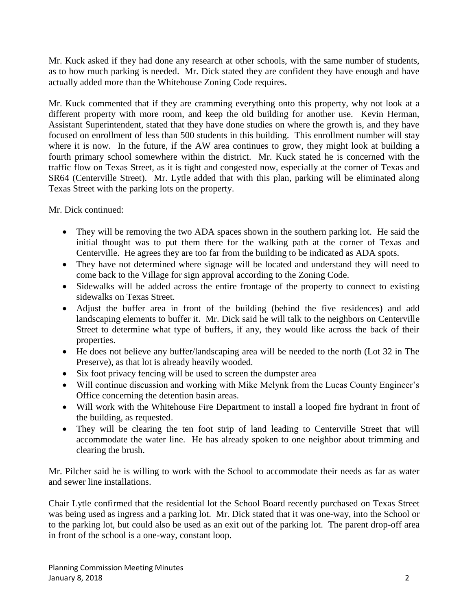Mr. Kuck asked if they had done any research at other schools, with the same number of students, as to how much parking is needed. Mr. Dick stated they are confident they have enough and have actually added more than the Whitehouse Zoning Code requires.

Mr. Kuck commented that if they are cramming everything onto this property, why not look at a different property with more room, and keep the old building for another use. Kevin Herman, Assistant Superintendent, stated that they have done studies on where the growth is, and they have focused on enrollment of less than 500 students in this building. This enrollment number will stay where it is now. In the future, if the AW area continues to grow, they might look at building a fourth primary school somewhere within the district. Mr. Kuck stated he is concerned with the traffic flow on Texas Street, as it is tight and congested now, especially at the corner of Texas and SR64 (Centerville Street). Mr. Lytle added that with this plan, parking will be eliminated along Texas Street with the parking lots on the property.

Mr. Dick continued:

- They will be removing the two ADA spaces shown in the southern parking lot. He said the initial thought was to put them there for the walking path at the corner of Texas and Centerville. He agrees they are too far from the building to be indicated as ADA spots.
- They have not determined where signage will be located and understand they will need to come back to the Village for sign approval according to the Zoning Code.
- Sidewalks will be added across the entire frontage of the property to connect to existing sidewalks on Texas Street.
- Adjust the buffer area in front of the building (behind the five residences) and add landscaping elements to buffer it. Mr. Dick said he will talk to the neighbors on Centerville Street to determine what type of buffers, if any, they would like across the back of their properties.
- He does not believe any buffer/landscaping area will be needed to the north (Lot 32 in The Preserve), as that lot is already heavily wooded.
- Six foot privacy fencing will be used to screen the dumpster area
- Will continue discussion and working with Mike Melynk from the Lucas County Engineer's Office concerning the detention basin areas.
- Will work with the Whitehouse Fire Department to install a looped fire hydrant in front of the building, as requested.
- They will be clearing the ten foot strip of land leading to Centerville Street that will accommodate the water line. He has already spoken to one neighbor about trimming and clearing the brush.

Mr. Pilcher said he is willing to work with the School to accommodate their needs as far as water and sewer line installations.

Chair Lytle confirmed that the residential lot the School Board recently purchased on Texas Street was being used as ingress and a parking lot. Mr. Dick stated that it was one-way, into the School or to the parking lot, but could also be used as an exit out of the parking lot. The parent drop-off area in front of the school is a one-way, constant loop.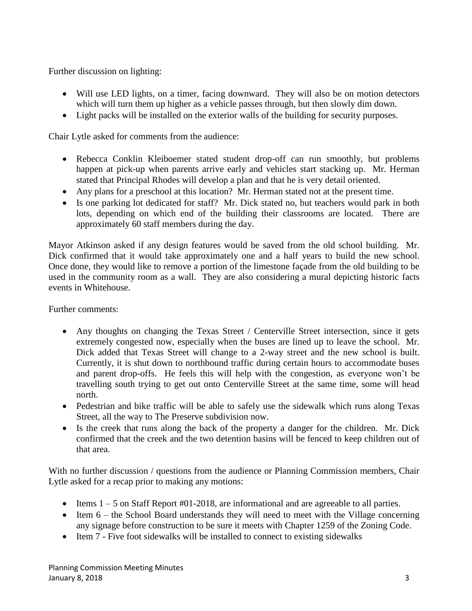Further discussion on lighting:

- Will use LED lights, on a timer, facing downward. They will also be on motion detectors which will turn them up higher as a vehicle passes through, but then slowly dim down.
- Light packs will be installed on the exterior walls of the building for security purposes.

Chair Lytle asked for comments from the audience:

- Rebecca Conklin Kleiboemer stated student drop-off can run smoothly, but problems happen at pick-up when parents arrive early and vehicles start stacking up. Mr. Herman stated that Principal Rhodes will develop a plan and that he is very detail oriented.
- Any plans for a preschool at this location? Mr. Herman stated not at the present time.
- Is one parking lot dedicated for staff? Mr. Dick stated no, but teachers would park in both lots, depending on which end of the building their classrooms are located. There are approximately 60 staff members during the day.

Mayor Atkinson asked if any design features would be saved from the old school building. Mr. Dick confirmed that it would take approximately one and a half years to build the new school. Once done, they would like to remove a portion of the limestone façade from the old building to be used in the community room as a wall. They are also considering a mural depicting historic facts events in Whitehouse.

Further comments:

- Any thoughts on changing the Texas Street / Centerville Street intersection, since it gets extremely congested now, especially when the buses are lined up to leave the school. Mr. Dick added that Texas Street will change to a 2-way street and the new school is built. Currently, it is shut down to northbound traffic during certain hours to accommodate buses and parent drop-offs. He feels this will help with the congestion, as everyone won't be travelling south trying to get out onto Centerville Street at the same time, some will head north.
- Pedestrian and bike traffic will be able to safely use the sidewalk which runs along Texas Street, all the way to The Preserve subdivision now.
- Is the creek that runs along the back of the property a danger for the children. Mr. Dick confirmed that the creek and the two detention basins will be fenced to keep children out of that area.

With no further discussion / questions from the audience or Planning Commission members, Chair Lytle asked for a recap prior to making any motions:

- $\bullet$  Items  $1 5$  on Staff Report #01-2018, are informational and are agreeable to all parties.
- $\bullet$  Item 6 the School Board understands they will need to meet with the Village concerning any signage before construction to be sure it meets with Chapter 1259 of the Zoning Code.
- Item 7 Five foot sidewalks will be installed to connect to existing sidewalks